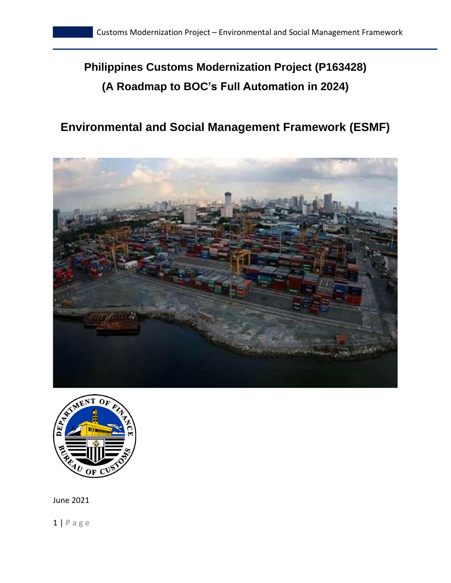# **Philippines Customs Modernization Project (P163428) (A Roadmap to BOC's Full Automation in 2024)**

# **Environmental and Social Management Framework (ESMF)**





June 2021

 $1 | P$  a g e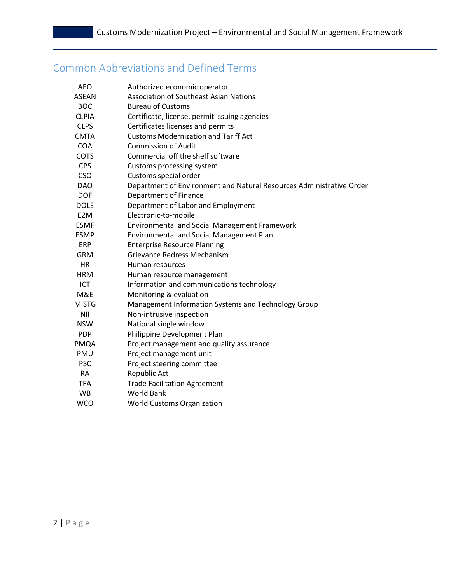# Common Abbreviations and Defined Terms

| <b>AEO</b>       | Authorized economic operator                                         |
|------------------|----------------------------------------------------------------------|
| <b>ASEAN</b>     | <b>Association of Southeast Asian Nations</b>                        |
| <b>BOC</b>       | <b>Bureau of Customs</b>                                             |
| <b>CLPIA</b>     | Certificate, license, permit issuing agencies                        |
| <b>CLPS</b>      | Certificates licenses and permits                                    |
| <b>CMTA</b>      | <b>Customs Modernization and Tariff Act</b>                          |
| <b>COA</b>       | <b>Commission of Audit</b>                                           |
| <b>COTS</b>      | Commercial off the shelf software                                    |
| <b>CPS</b>       | Customs processing system                                            |
| <b>CSO</b>       | Customs special order                                                |
| <b>DAO</b>       | Department of Environment and Natural Resources Administrative Order |
| <b>DOF</b>       | <b>Department of Finance</b>                                         |
| <b>DOLE</b>      | Department of Labor and Employment                                   |
| E <sub>2</sub> M | Electronic-to-mobile                                                 |
| <b>ESMF</b>      | Environmental and Social Management Framework                        |
| <b>ESMP</b>      | Environmental and Social Management Plan                             |
| <b>ERP</b>       | <b>Enterprise Resource Planning</b>                                  |
| <b>GRM</b>       | <b>Grievance Redress Mechanism</b>                                   |
| <b>HR</b>        | Human resources                                                      |
| <b>HRM</b>       | Human resource management                                            |
| <b>ICT</b>       | Information and communications technology                            |
| M&E              | Monitoring & evaluation                                              |
| <b>MISTG</b>     | Management Information Systems and Technology Group                  |
| <b>NII</b>       | Non-intrusive inspection                                             |
| <b>NSW</b>       | National single window                                               |
| <b>PDP</b>       | Philippine Development Plan                                          |
| PMQA             | Project management and quality assurance                             |
| PMU              | Project management unit                                              |
| <b>PSC</b>       | Project steering committee                                           |
| <b>RA</b>        | Republic Act                                                         |
| <b>TFA</b>       | <b>Trade Facilitation Agreement</b>                                  |
| <b>WB</b>        | <b>World Bank</b>                                                    |
| <b>WCO</b>       | <b>World Customs Organization</b>                                    |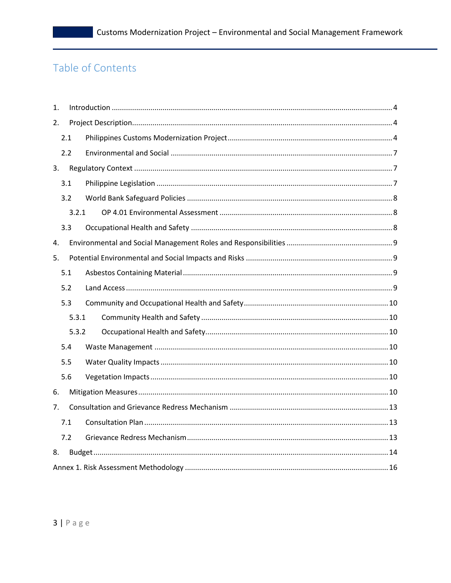# Table of Contents

| 1.  |       |  |  |  |  |
|-----|-------|--|--|--|--|
| 2.  |       |  |  |  |  |
|     | 2.1   |  |  |  |  |
|     | 2.2   |  |  |  |  |
| 3.  |       |  |  |  |  |
|     | 3.1   |  |  |  |  |
|     | 3.2   |  |  |  |  |
|     | 3.2.1 |  |  |  |  |
|     | 3.3   |  |  |  |  |
| 4.  |       |  |  |  |  |
| 5.  |       |  |  |  |  |
|     | 5.1   |  |  |  |  |
|     | 5.2   |  |  |  |  |
|     | 5.3   |  |  |  |  |
|     | 5.3.1 |  |  |  |  |
|     | 5.3.2 |  |  |  |  |
|     | 5.4   |  |  |  |  |
|     | 5.5   |  |  |  |  |
|     | 5.6   |  |  |  |  |
| 6.  |       |  |  |  |  |
| 7.  |       |  |  |  |  |
| 7.1 |       |  |  |  |  |
|     | 7.2   |  |  |  |  |
| 8.  |       |  |  |  |  |
|     |       |  |  |  |  |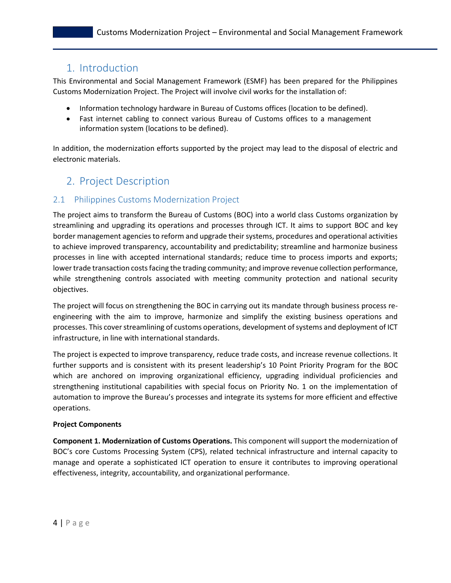# <span id="page-3-0"></span>1. Introduction

This Environmental and Social Management Framework (ESMF) has been prepared for the Philippines Customs Modernization Project. The Project will involve civil works for the installation of:

- Information technology hardware in Bureau of Customs offices (location to be defined).
- Fast internet cabling to connect various Bureau of Customs offices to a management information system (locations to be defined).

In addition, the modernization efforts supported by the project may lead to the disposal of electric and electronic materials.

# <span id="page-3-2"></span><span id="page-3-1"></span>2. Project Description

## 2.1 Philippines Customs Modernization Project

The project aims to transform the Bureau of Customs (BOC) into a world class Customs organization by streamlining and upgrading its operations and processes through ICT. It aims to support BOC and key border management agencies to reform and upgrade their systems, procedures and operational activities to achieve improved transparency, accountability and predictability; streamline and harmonize business processes in line with accepted international standards; reduce time to process imports and exports; lower trade transaction costs facing the trading community; and improve revenue collection performance, while strengthening controls associated with meeting community protection and national security objectives.

The project will focus on strengthening the BOC in carrying out its mandate through business process reengineering with the aim to improve, harmonize and simplify the existing business operations and processes. This cover streamlining of customs operations, development of systems and deployment of ICT infrastructure, in line with international standards.

The project is expected to improve transparency, reduce trade costs, and increase revenue collections. It further supports and is consistent with its present leadership's 10 Point Priority Program for the BOC which are anchored on improving organizational efficiency, upgrading individual proficiencies and strengthening institutional capabilities with special focus on Priority No. 1 on the implementation of automation to improve the Bureau's processes and integrate its systems for more efficient and effective operations.

#### **Project Components**

**Component 1. Modernization of Customs Operations.** This component will support the modernization of BOC's core Customs Processing System (CPS), related technical infrastructure and internal capacity to manage and operate a sophisticated ICT operation to ensure it contributes to improving operational effectiveness, integrity, accountability, and organizational performance.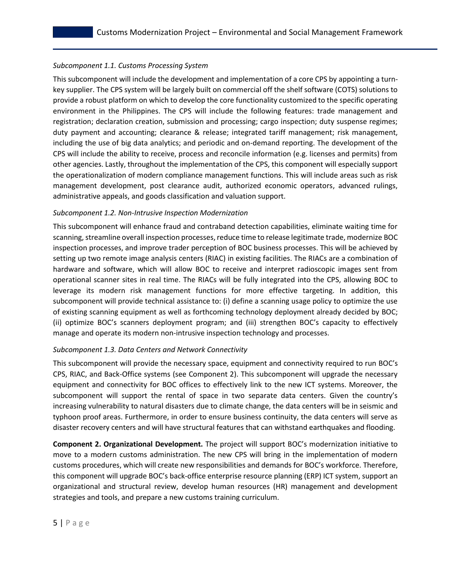#### *Subcomponent 1.1. Customs Processing System*

This subcomponent will include the development and implementation of a core CPS by appointing a turnkey supplier. The CPS system will be largely built on commercial off the shelf software (COTS) solutions to provide a robust platform on which to develop the core functionality customized to the specific operating environment in the Philippines. The CPS will include the following features: trade management and registration; declaration creation, submission and processing; cargo inspection; duty suspense regimes; duty payment and accounting; clearance & release; integrated tariff management; risk management, including the use of big data analytics; and periodic and on-demand reporting. The development of the CPS will include the ability to receive, process and reconcile information (e.g. licenses and permits) from other agencies. Lastly, throughout the implementation of the CPS, this component will especially support the operationalization of modern compliance management functions. This will include areas such as risk management development, post clearance audit, authorized economic operators, advanced rulings, administrative appeals, and goods classification and valuation support.

#### *Subcomponent 1.2. Non-Intrusive Inspection Modernization*

This subcomponent will enhance fraud and contraband detection capabilities, eliminate waiting time for scanning, streamline overall inspection processes, reduce time to release legitimate trade, modernize BOC inspection processes, and improve trader perception of BOC business processes. This will be achieved by setting up two remote image analysis centers (RIAC) in existing facilities. The RIACs are a combination of hardware and software, which will allow BOC to receive and interpret radioscopic images sent from operational scanner sites in real time. The RIACs will be fully integrated into the CPS, allowing BOC to leverage its modern risk management functions for more effective targeting. In addition, this subcomponent will provide technical assistance to: (i) define a scanning usage policy to optimize the use of existing scanning equipment as well as forthcoming technology deployment already decided by BOC; (ii) optimize BOC's scanners deployment program; and (iii) strengthen BOC's capacity to effectively manage and operate its modern non-intrusive inspection technology and processes.

#### *Subcomponent 1.3. Data Centers and Network Connectivity*

This subcomponent will provide the necessary space, equipment and connectivity required to run BOC's CPS, RIAC, and Back-Office systems (see Component 2). This subcomponent will upgrade the necessary equipment and connectivity for BOC offices to effectively link to the new ICT systems. Moreover, the subcomponent will support the rental of space in two separate data centers. Given the country's increasing vulnerability to natural disasters due to climate change, the data centers will be in seismic and typhoon proof areas. Furthermore, in order to ensure business continuity, the data centers will serve as disaster recovery centers and will have structural features that can withstand earthquakes and flooding.

**Component 2. Organizational Development.** The project will support BOC's modernization initiative to move to a modern customs administration. The new CPS will bring in the implementation of modern customs procedures, which will create new responsibilities and demands for BOC's workforce. Therefore, this component will upgrade BOC's back-office enterprise resource planning (ERP) ICT system, support an organizational and structural review, develop human resources (HR) management and development strategies and tools, and prepare a new customs training curriculum.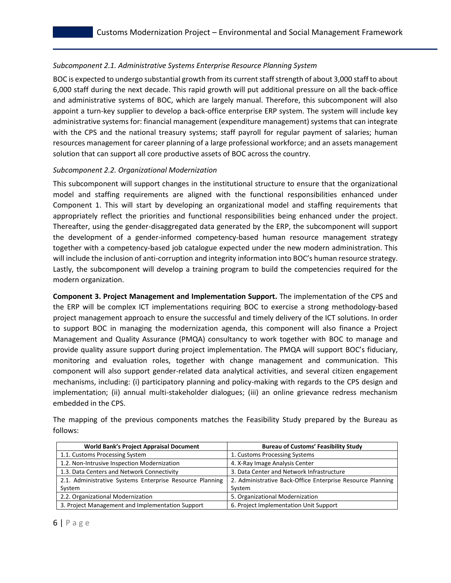#### *Subcomponent 2.1. Administrative Systems Enterprise Resource Planning System*

BOC is expected to undergo substantial growth from its current staff strength of about 3,000 staff to about 6,000 staff during the next decade. This rapid growth will put additional pressure on all the back-office and administrative systems of BOC, which are largely manual. Therefore, this subcomponent will also appoint a turn-key supplier to develop a back-office enterprise ERP system. The system will include key administrative systems for: financial management (expenditure management) systems that can integrate with the CPS and the national treasury systems; staff payroll for regular payment of salaries; human resources management for career planning of a large professional workforce; and an assets management solution that can support all core productive assets of BOC across the country.

#### *Subcomponent 2.2. Organizational Modernization*

This subcomponent will support changes in the institutional structure to ensure that the organizational model and staffing requirements are aligned with the functional responsibilities enhanced under Component 1. This will start by developing an organizational model and staffing requirements that appropriately reflect the priorities and functional responsibilities being enhanced under the project. Thereafter, using the gender-disaggregated data generated by the ERP, the subcomponent will support the development of a gender-informed competency-based human resource management strategy together with a competency-based job catalogue expected under the new modern administration. This will include the inclusion of anti-corruption and integrity information into BOC's human resource strategy. Lastly, the subcomponent will develop a training program to build the competencies required for the modern organization.

**Component 3. Project Management and Implementation Support.** The implementation of the CPS and the ERP will be complex ICT implementations requiring BOC to exercise a strong methodology-based project management approach to ensure the successful and timely delivery of the ICT solutions. In order to support BOC in managing the modernization agenda, this component will also finance a Project Management and Quality Assurance (PMQA) consultancy to work together with BOC to manage and provide quality assure support during project implementation. The PMQA will support BOC's fiduciary, monitoring and evaluation roles, together with change management and communication. This component will also support gender-related data analytical activities, and several citizen engagement mechanisms, including: (i) participatory planning and policy-making with regards to the CPS design and implementation; (ii) annual multi-stakeholder dialogues; (iii) an online grievance redress mechanism embedded in the CPS.

| <b>World Bank's Project Appraisal Document</b>           | <b>Bureau of Customs' Feasibility Study</b>                |
|----------------------------------------------------------|------------------------------------------------------------|
| 1.1. Customs Processing System                           | 1. Customs Processing Systems                              |
| 1.2. Non-Intrusive Inspection Modernization              | 4. X-Ray Image Analysis Center                             |
| 1.3. Data Centers and Network Connectivity               | 3. Data Center and Network Infrastructure                  |
| 2.1. Administrative Systems Enterprise Resource Planning | 2. Administrative Back-Office Enterprise Resource Planning |
| System                                                   | System                                                     |
| 2.2. Organizational Modernization                        | 5. Organizational Modernization                            |
| 3. Project Management and Implementation Support         | 6. Project Implementation Unit Support                     |

The mapping of the previous components matches the Feasibility Study prepared by the Bureau as follows: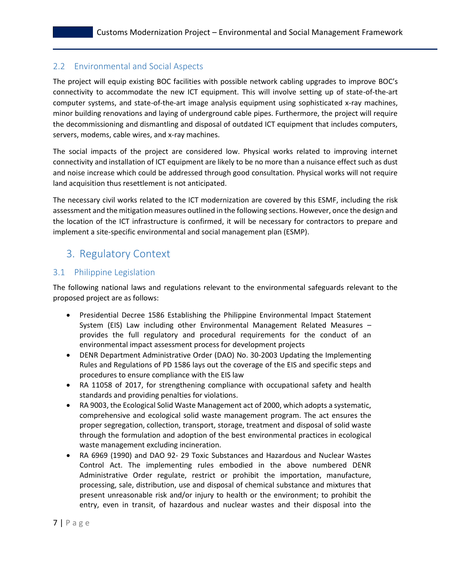## <span id="page-6-0"></span>2.2 Environmental and Social Aspects

The project will equip existing BOC facilities with possible network cabling upgrades to improve BOC's connectivity to accommodate the new ICT equipment. This will involve setting up of state-of-the-art computer systems, and state-of-the-art image analysis equipment using sophisticated x-ray machines, minor building renovations and laying of underground cable pipes. Furthermore, the project will require the decommissioning and dismantling and disposal of outdated ICT equipment that includes computers, servers, modems, cable wires, and x-ray machines.

The social impacts of the project are considered low. Physical works related to improving internet connectivity and installation of ICT equipment are likely to be no more than a nuisance effect such as dust and noise increase which could be addressed through good consultation. Physical works will not require land acquisition thus resettlement is not anticipated.

The necessary civil works related to the ICT modernization are covered by this ESMF, including the risk assessment and the mitigation measures outlined in the following sections. However, once the design and the location of the ICT infrastructure is confirmed, it will be necessary for contractors to prepare and implement a site-specific environmental and social management plan (ESMP).

# <span id="page-6-2"></span><span id="page-6-1"></span>3. Regulatory Context

## 3.1 Philippine Legislation

The following national laws and regulations relevant to the environmental safeguards relevant to the proposed project are as follows:

- Presidential Decree 1586 Establishing the Philippine Environmental Impact Statement System (EIS) Law including other Environmental Management Related Measures – provides the full regulatory and procedural requirements for the conduct of an environmental impact assessment process for development projects
- DENR Department Administrative Order (DAO) No. 30-2003 Updating the Implementing Rules and Regulations of PD 1586 lays out the coverage of the EIS and specific steps and procedures to ensure compliance with the EIS law
- RA 11058 of 2017, for strengthening compliance with occupational safety and health standards and providing penalties for violations.
- RA 9003, the Ecological Solid Waste Management act of 2000, which adopts a systematic, comprehensive and ecological solid waste management program. The act ensures the proper segregation, collection, transport, storage, treatment and disposal of solid waste through the formulation and adoption of the best environmental practices in ecological waste management excluding incineration.
- RA 6969 (1990) and DAO 92- 29 Toxic Substances and Hazardous and Nuclear Wastes Control Act. The implementing rules embodied in the above numbered DENR Administrative Order regulate, restrict or prohibit the importation, manufacture, processing, sale, distribution, use and disposal of chemical substance and mixtures that present unreasonable risk and/or injury to health or the environment; to prohibit the entry, even in transit, of hazardous and nuclear wastes and their disposal into the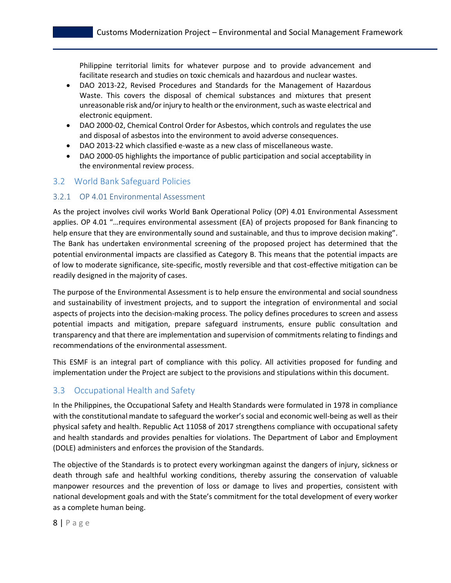Philippine territorial limits for whatever purpose and to provide advancement and facilitate research and studies on toxic chemicals and hazardous and nuclear wastes.

- DAO 2013-22, Revised Procedures and Standards for the Management of Hazardous Waste. This covers the disposal of chemical substances and mixtures that present unreasonable risk and/or injury to health or the environment, such as waste electrical and electronic equipment.
- DAO 2000-02, Chemical Control Order for Asbestos, which controls and regulates the use and disposal of asbestos into the environment to avoid adverse consequences.
- DAO 2013-22 which classified e-waste as a new class of miscellaneous waste.
- DAO 2000-05 highlights the importance of public participation and social acceptability in the environmental review process.

### <span id="page-7-0"></span>3.2 World Bank Safeguard Policies

#### <span id="page-7-1"></span>3.2.1 OP 4.01 Environmental Assessment

As the project involves civil works World Bank Operational Policy (OP) 4.01 Environmental Assessment applies. OP 4.01 "…requires environmental assessment (EA) of projects proposed for Bank financing to help ensure that they are environmentally sound and sustainable, and thus to improve decision making". The Bank has undertaken environmental screening of the proposed project has determined that the potential environmental impacts are classified as Category B. This means that the potential impacts are of low to moderate significance, site-specific, mostly reversible and that cost-effective mitigation can be readily designed in the majority of cases.

The purpose of the Environmental Assessment is to help ensure the environmental and social soundness and sustainability of investment projects, and to support the integration of environmental and social aspects of projects into the decision-making process. The policy defines procedures to screen and assess potential impacts and mitigation, prepare safeguard instruments, ensure public consultation and transparency and that there are implementation and supervision of commitments relating to findings and recommendations of the environmental assessment.

This ESMF is an integral part of compliance with this policy. All activities proposed for funding and implementation under the Project are subject to the provisions and stipulations within this document.

### <span id="page-7-2"></span>3.3 Occupational Health and Safety

In the Philippines, the Occupational Safety and Health Standards were formulated in 1978 in compliance with the constitutional mandate to safeguard the worker's social and economic well-being as well as their physical safety and health. Republic Act 11058 of 2017 strengthens compliance with occupational safety and health standards and provides penalties for violations. The Department of Labor and Employment (DOLE) administers and enforces the provision of the Standards.

The objective of the Standards is to protect every workingman against the dangers of injury, sickness or death through safe and healthful working conditions, thereby assuring the conservation of valuable manpower resources and the prevention of loss or damage to lives and properties, consistent with national development goals and with the State's commitment for the total development of every worker as a complete human being.

8 | P a g e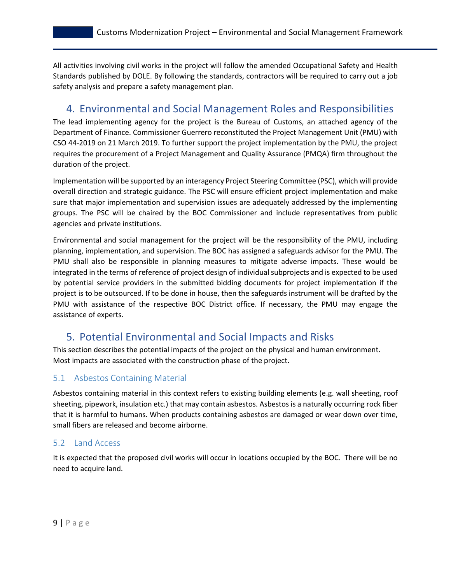All activities involving civil works in the project will follow the amended Occupational Safety and Health Standards published by DOLE. By following the standards, contractors will be required to carry out a job safety analysis and prepare a safety management plan.

# <span id="page-8-0"></span>4. Environmental and Social Management Roles and Responsibilities

The lead implementing agency for the project is the Bureau of Customs, an attached agency of the Department of Finance. Commissioner Guerrero reconstituted the Project Management Unit (PMU) with CSO 44-2019 on 21 March 2019. To further support the project implementation by the PMU, the project requires the procurement of a Project Management and Quality Assurance (PMQA) firm throughout the duration of the project.

Implementation will be supported by an interagency Project Steering Committee (PSC), which will provide overall direction and strategic guidance. The PSC will ensure efficient project implementation and make sure that major implementation and supervision issues are adequately addressed by the implementing groups. The PSC will be chaired by the BOC Commissioner and include representatives from public agencies and private institutions.

Environmental and social management for the project will be the responsibility of the PMU, including planning, implementation, and supervision. The BOC has assigned a safeguards advisor for the PMU. The PMU shall also be responsible in planning measures to mitigate adverse impacts. These would be integrated in the terms of reference of project design of individual subprojects and is expected to be used by potential service providers in the submitted bidding documents for project implementation if the project is to be outsourced. If to be done in house, then the safeguards instrument will be drafted by the PMU with assistance of the respective BOC District office. If necessary, the PMU may engage the assistance of experts.

# <span id="page-8-1"></span>5. Potential Environmental and Social Impacts and Risks

This section describes the potential impacts of the project on the physical and human environment. Most impacts are associated with the construction phase of the project.

## <span id="page-8-2"></span>5.1 Asbestos Containing Material

Asbestos containing material in this context refers to existing building elements (e.g. wall sheeting, roof sheeting, pipework, insulation etc.) that may contain asbestos. Asbestos is a naturally occurring rock fiber that it is harmful to humans. When products containing asbestos are damaged or wear down over time, small fibers are released and become airborne.

### <span id="page-8-3"></span>5.2 Land Access

It is expected that the proposed civil works will occur in locations occupied by the BOC. There will be no need to acquire land.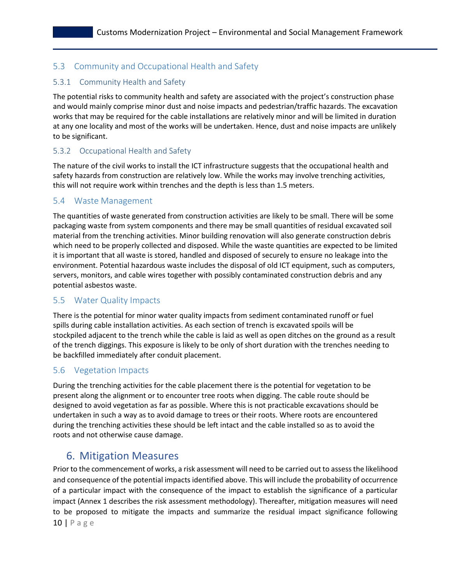## <span id="page-9-0"></span>5.3 Community and Occupational Health and Safety

## <span id="page-9-1"></span>5.3.1 Community Health and Safety

The potential risks to community health and safety are associated with the project's construction phase and would mainly comprise minor dust and noise impacts and pedestrian/traffic hazards. The excavation works that may be required for the cable installations are relatively minor and will be limited in duration at any one locality and most of the works will be undertaken. Hence, dust and noise impacts are unlikely to be significant.

### <span id="page-9-2"></span>5.3.2 Occupational Health and Safety

The nature of the civil works to install the ICT infrastructure suggests that the occupational health and safety hazards from construction are relatively low. While the works may involve trenching activities, this will not require work within trenches and the depth is less than 1.5 meters.

## <span id="page-9-3"></span>5.4 Waste Management

The quantities of waste generated from construction activities are likely to be small. There will be some packaging waste from system components and there may be small quantities of residual excavated soil material from the trenching activities. Minor building renovation will also generate construction debris which need to be properly collected and disposed. While the waste quantities are expected to be limited it is important that all waste is stored, handled and disposed of securely to ensure no leakage into the environment. Potential hazardous waste includes the disposal of old ICT equipment, such as computers, servers, monitors, and cable wires together with possibly contaminated construction debris and any potential asbestos waste.

### <span id="page-9-4"></span>5.5 Water Quality Impacts

There is the potential for minor water quality impacts from sediment contaminated runoff or fuel spills during cable installation activities. As each section of trench is excavated spoils will be stockpiled adjacent to the trench while the cable is laid as well as open ditches on the ground as a result of the trench diggings. This exposure is likely to be only of short duration with the trenches needing to be backfilled immediately after conduit placement.

## <span id="page-9-5"></span>5.6 Vegetation Impacts

During the trenching activities for the cable placement there is the potential for vegetation to be present along the alignment or to encounter tree roots when digging. The cable route should be designed to avoid vegetation as far as possible. Where this is not practicable excavations should be undertaken in such a way as to avoid damage to trees or their roots. Where roots are encountered during the trenching activities these should be left intact and the cable installed so as to avoid the roots and not otherwise cause damage.

# <span id="page-9-6"></span>6. Mitigation Measures

10 | P a g e Prior to the commencement of works, a risk assessment will need to be carried out to assess the likelihood and consequence of the potential impacts identified above. This will include the probability of occurrence of a particular impact with the consequence of the impact to establish the significance of a particular impact (Annex 1 describes the risk assessment methodology). Thereafter, mitigation measures will need to be proposed to mitigate the impacts and summarize the residual impact significance following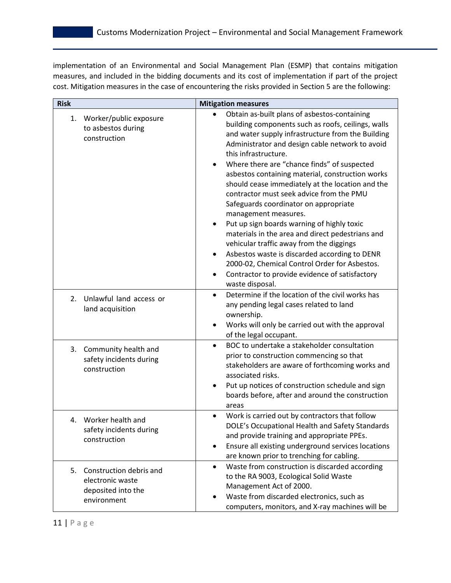implementation of an Environmental and Social Management Plan (ESMP) that contains mitigation measures, and included in the bidding documents and its cost of implementation if part of the project cost. Mitigation measures in the case of encountering the risks provided in Section 5 are the following:

| <b>Risk</b>                                                                            | <b>Mitigation measures</b>                                                                                                                                                                                                                                                                                                                                                                                                                                                                                                                                                                                                                                                                                                                                                                                                                    |  |  |
|----------------------------------------------------------------------------------------|-----------------------------------------------------------------------------------------------------------------------------------------------------------------------------------------------------------------------------------------------------------------------------------------------------------------------------------------------------------------------------------------------------------------------------------------------------------------------------------------------------------------------------------------------------------------------------------------------------------------------------------------------------------------------------------------------------------------------------------------------------------------------------------------------------------------------------------------------|--|--|
| Worker/public exposure<br>1.<br>to asbestos during<br>construction                     | Obtain as-built plans of asbestos-containing<br>building components such as roofs, ceilings, walls<br>and water supply infrastructure from the Building<br>Administrator and design cable network to avoid<br>this infrastructure.<br>Where there are "chance finds" of suspected<br>asbestos containing material, construction works<br>should cease immediately at the location and the<br>contractor must seek advice from the PMU<br>Safeguards coordinator on appropriate<br>management measures.<br>Put up sign boards warning of highly toxic<br>materials in the area and direct pedestrians and<br>vehicular traffic away from the diggings<br>Asbestos waste is discarded according to DENR<br>$\bullet$<br>2000-02, Chemical Control Order for Asbestos.<br>Contractor to provide evidence of satisfactory<br>٠<br>waste disposal. |  |  |
| Unlawful land access or<br>2.<br>land acquisition                                      | Determine if the location of the civil works has<br>$\bullet$<br>any pending legal cases related to land<br>ownership.<br>Works will only be carried out with the approval<br>of the legal occupant.                                                                                                                                                                                                                                                                                                                                                                                                                                                                                                                                                                                                                                          |  |  |
| 3. Community health and<br>safety incidents during<br>construction                     | BOC to undertake a stakeholder consultation<br>$\bullet$<br>prior to construction commencing so that<br>stakeholders are aware of forthcoming works and<br>associated risks.<br>Put up notices of construction schedule and sign<br>boards before, after and around the construction<br>areas                                                                                                                                                                                                                                                                                                                                                                                                                                                                                                                                                 |  |  |
| Worker health and<br>4.<br>safety incidents during<br>construction                     | Work is carried out by contractors that follow<br>DOLE's Occupational Health and Safety Standards<br>and provide training and appropriate PPEs.<br>Ensure all existing underground services locations<br>$\bullet$<br>are known prior to trenching for cabling.                                                                                                                                                                                                                                                                                                                                                                                                                                                                                                                                                                               |  |  |
| 5.<br>Construction debris and<br>electronic waste<br>deposited into the<br>environment | Waste from construction is discarded according<br>$\bullet$<br>to the RA 9003, Ecological Solid Waste<br>Management Act of 2000.<br>Waste from discarded electronics, such as<br>computers, monitors, and X-ray machines will be                                                                                                                                                                                                                                                                                                                                                                                                                                                                                                                                                                                                              |  |  |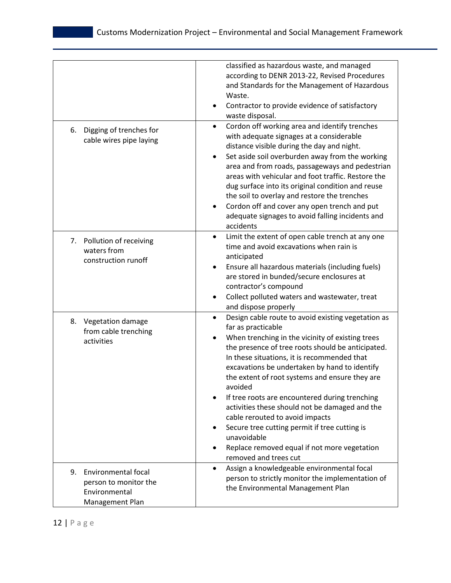|                                                                                               | classified as hazardous waste, and managed<br>according to DENR 2013-22, Revised Procedures<br>and Standards for the Management of Hazardous<br>Waste.<br>Contractor to provide evidence of satisfactory<br>waste disposal.<br>Cordon off working area and identify trenches<br>$\bullet$                                                                                                                                                                                                                                                                                                                                      |
|-----------------------------------------------------------------------------------------------|--------------------------------------------------------------------------------------------------------------------------------------------------------------------------------------------------------------------------------------------------------------------------------------------------------------------------------------------------------------------------------------------------------------------------------------------------------------------------------------------------------------------------------------------------------------------------------------------------------------------------------|
| 6.<br>Digging of trenches for<br>cable wires pipe laying                                      | with adequate signages at a considerable<br>distance visible during the day and night.<br>Set aside soil overburden away from the working<br>area and from roads, passageways and pedestrian<br>areas with vehicular and foot traffic. Restore the<br>dug surface into its original condition and reuse<br>the soil to overlay and restore the trenches<br>Cordon off and cover any open trench and put<br>adequate signages to avoid falling incidents and<br>accidents                                                                                                                                                       |
| Pollution of receiving<br>7.<br>waters from<br>construction runoff                            | Limit the extent of open cable trench at any one<br>$\bullet$<br>time and avoid excavations when rain is<br>anticipated<br>Ensure all hazardous materials (including fuels)<br>are stored in bunded/secure enclosures at<br>contractor's compound<br>Collect polluted waters and wastewater, treat<br>and dispose properly                                                                                                                                                                                                                                                                                                     |
| 8.<br>Vegetation damage<br>from cable trenching<br>activities                                 | Design cable route to avoid existing vegetation as<br>far as practicable<br>When trenching in the vicinity of existing trees<br>the presence of tree roots should be anticipated.<br>In these situations, it is recommended that<br>excavations be undertaken by hand to identify<br>the extent of root systems and ensure they are<br>avoided<br>If tree roots are encountered during trenching<br>activities these should not be damaged and the<br>cable rerouted to avoid impacts<br>Secure tree cutting permit if tree cutting is<br>unavoidable<br>Replace removed equal if not more vegetation<br>removed and trees cut |
| <b>Environmental focal</b><br>9.<br>person to monitor the<br>Environmental<br>Management Plan | Assign a knowledgeable environmental focal<br>person to strictly monitor the implementation of<br>the Environmental Management Plan                                                                                                                                                                                                                                                                                                                                                                                                                                                                                            |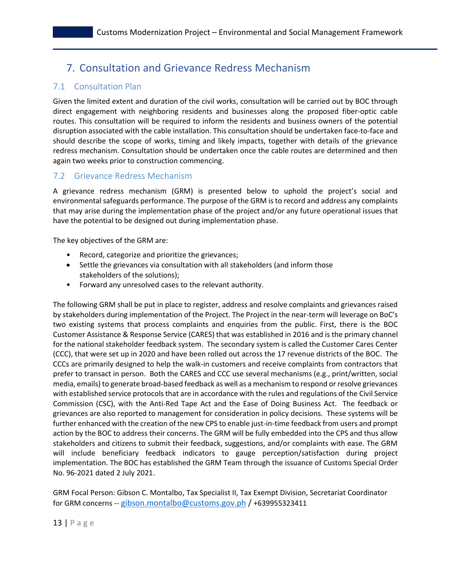# <span id="page-12-1"></span><span id="page-12-0"></span>7. Consultation and Grievance Redress Mechanism

## 7.1 Consultation Plan

Given the limited extent and duration of the civil works, consultation will be carried out by BOC through direct engagement with neighboring residents and businesses along the proposed fiber-optic cable routes. This consultation will be required to inform the residents and business owners of the potential disruption associated with the cable installation. This consultation should be undertaken face-to-face and should describe the scope of works, timing and likely impacts, together with details of the grievance redress mechanism. Consultation should be undertaken once the cable routes are determined and then again two weeks prior to construction commencing.

## <span id="page-12-2"></span>7.2 Grievance Redress Mechanism

A grievance redress mechanism (GRM) is presented below to uphold the project's social and environmental safeguards performance. The purpose of the GRM is to record and address any complaints that may arise during the implementation phase of the project and/or any future operational issues that have the potential to be designed out during implementation phase.

The key objectives of the GRM are:

- Record, categorize and prioritize the grievances;
- Settle the grievances via consultation with all stakeholders (and inform those stakeholders of the solutions);
- Forward any unresolved cases to the relevant authority.

The following GRM shall be put in place to register, address and resolve complaints and grievances raised by stakeholders during implementation of the Project. The Project in the near-term will leverage on BoC's two existing systems that process complaints and enquiries from the public. First, there is the BOC Customer Assistance & Response Service (CARES) that was established in 2016 and is the primary channel for the national stakeholder feedback system. The secondary system is called the Customer Cares Center (CCC), that were set up in 2020 and have been rolled out across the 17 revenue districts of the BOC. The CCCs are primarily designed to help the walk-in customers and receive complaints from contractors that prefer to transact in person. Both the CARES and CCC use several mechanisms (e.g., print/written, social media, emails) to generate broad-based feedback as well as a mechanism to respond or resolve grievances with established service protocols that are in accordance with the rules and regulations of the Civil Service Commission (CSC), with the Anti-Red Tape Act and the Ease of Doing Business Act. The feedback or grievances are also reported to management for consideration in policy decisions. These systems will be further enhanced with the creation of the new CPS to enable just-in-time feedback from users and prompt action by the BOC to address their concerns. The GRM will be fully embedded into the CPS and thus allow stakeholders and citizens to submit their feedback, suggestions, and/or complaints with ease. The GRM will include beneficiary feedback indicators to gauge perception/satisfaction during project implementation. The BOC has established the GRM Team through the issuance of Customs Special Order No. 96-2021 dated 2 July 2021.

GRM Focal Person: Gibson C. Montalbo, Tax Specialist II, Tax Exempt Division, Secretariat Coordinator for GRM concerns -- [gibson.montalbo@customs.gov.ph](mailto:gibson.montalbo@customs.gov.ph) / +639955323411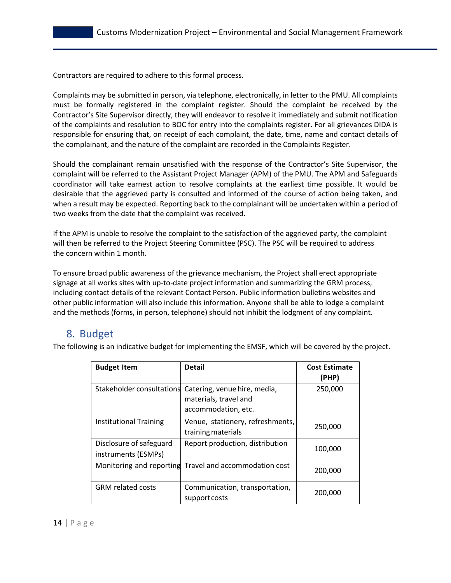Contractors are required to adhere to this formal process.

Complaints may be submitted in person, via telephone, electronically, in letter to the PMU. All complaints must be formally registered in the complaint register. Should the complaint be received by the Contractor's Site Supervisor directly, they will endeavor to resolve it immediately and submit notification of the complaints and resolution to BOC for entry into the complaints register. For all grievances DIDA is responsible for ensuring that, on receipt of each complaint, the date, time, name and contact details of the complainant, and the nature of the complaint are recorded in the Complaints Register.

Should the complainant remain unsatisfied with the response of the Contractor's Site Supervisor, the complaint will be referred to the Assistant Project Manager (APM) of the PMU. The APM and Safeguards coordinator will take earnest action to resolve complaints at the earliest time possible. It would be desirable that the aggrieved party is consulted and informed of the course of action being taken, and when a result may be expected. Reporting back to the complainant will be undertaken within a period of two weeks from the date that the complaint was received.

If the APM is unable to resolve the complaint to the satisfaction of the aggrieved party, the complaint will then be referred to the Project Steering Committee (PSC). The PSC will be required to address the concern within 1 month.

To ensure broad public awareness of the grievance mechanism, the Project shall erect appropriate signage at all works sites with up-to-date project information and summarizing the GRM process, including contact details of the relevant Contact Person. Public information bulletins websites and other public information will also include this information. Anyone shall be able to lodge a complaint and the methods (forms, in person, telephone) should not inhibit the lodgment of any complaint.

# <span id="page-13-0"></span>8. Budget

The following is an indicative budget for implementing the EMSF, which will be covered by the project.

| <b>Budget Item</b>                             | <b>Detail</b>                                                                                          | <b>Cost Estimate</b><br>(PHP) |
|------------------------------------------------|--------------------------------------------------------------------------------------------------------|-------------------------------|
|                                                | Stakeholder consultations Catering, venue hire, media,<br>materials, travel and<br>accommodation, etc. | 250,000                       |
| <b>Institutional Training</b>                  | Venue, stationery, refreshments,<br>training materials                                                 | 250,000                       |
| Disclosure of safeguard<br>instruments (ESMPs) | Report production, distribution                                                                        | 100,000                       |
|                                                | Monitoring and reporting Travel and accommodation cost                                                 | 200,000                       |
| <b>GRM</b> related costs                       | Communication, transportation,<br>support costs                                                        | 200,000                       |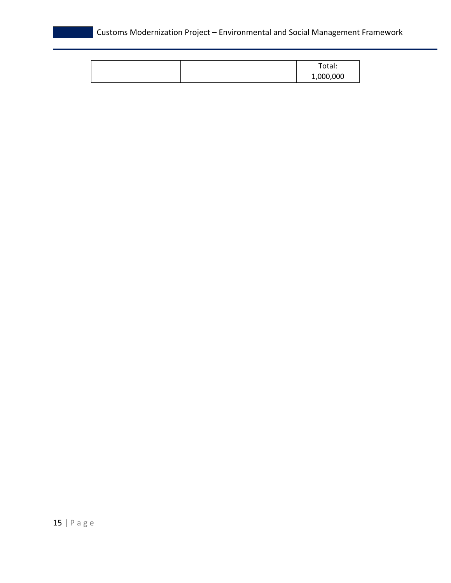|  | Total:    |
|--|-----------|
|  | 1,000,000 |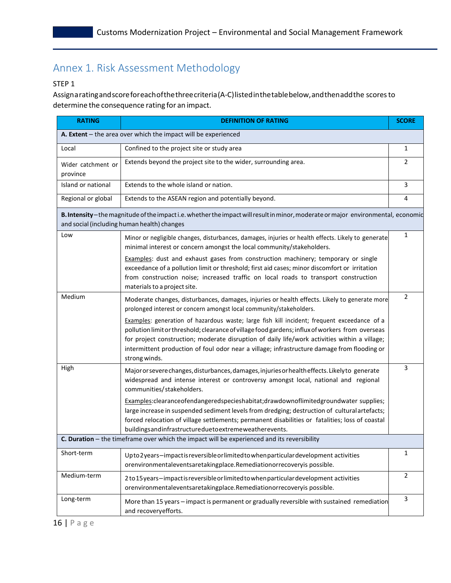# <span id="page-15-0"></span>Annex 1. Risk Assessment Methodology

#### STEP 1

Assignaratingandscoreforeachofthethreecriteria(A-C)listedinthetablebelow,andthenaddthe scoresto determine the consequence rating for an impact.

| <b>RATING</b>                                                    | <b>DEFINITION OF RATING</b>                                                                                                                                                                                                                                                                                                                                                                                      | <b>SCORE</b>   |  |  |
|------------------------------------------------------------------|------------------------------------------------------------------------------------------------------------------------------------------------------------------------------------------------------------------------------------------------------------------------------------------------------------------------------------------------------------------------------------------------------------------|----------------|--|--|
| A. Extent $-$ the area over which the impact will be experienced |                                                                                                                                                                                                                                                                                                                                                                                                                  |                |  |  |
| Local                                                            | Confined to the project site or study area                                                                                                                                                                                                                                                                                                                                                                       | $\mathbf{1}$   |  |  |
| Wider catchment or<br>province                                   | Extends beyond the project site to the wider, surrounding area.                                                                                                                                                                                                                                                                                                                                                  | $\overline{2}$ |  |  |
| Island or national                                               | Extends to the whole island or nation.                                                                                                                                                                                                                                                                                                                                                                           | 3              |  |  |
| Regional or global                                               | Extends to the ASEAN region and potentially beyond.                                                                                                                                                                                                                                                                                                                                                              | 4              |  |  |
|                                                                  | B. Intensity-the magnitude of the impacti.e. whether the impact will result in minor, moderate or major environmental, economic<br>and social (including human health) changes                                                                                                                                                                                                                                   |                |  |  |
| Low                                                              | Minor or negligible changes, disturbances, damages, injuries or health effects. Likely to generate<br>minimal interest or concern amongst the local community/stakeholders.                                                                                                                                                                                                                                      | $\mathbf{1}$   |  |  |
|                                                                  | Examples: dust and exhaust gases from construction machinery; temporary or single<br>exceedance of a pollution limit or threshold; first aid cases; minor discomfort or irritation<br>from construction noise; increased traffic on local roads to transport construction<br>materials to a project site.                                                                                                        |                |  |  |
| Medium                                                           | Moderate changes, disturbances, damages, injuries or health effects. Likely to generate more<br>prolonged interest or concern amongst local community/stakeholders.                                                                                                                                                                                                                                              | $\overline{2}$ |  |  |
|                                                                  | Examples: generation of hazardous waste; large fish kill incident; frequent exceedance of a<br>pollution limit or threshold; clearance of village food gardens; influx of workers from overseas<br>for project construction; moderate disruption of daily life/work activities within a village;<br>intermittent production of foul odor near a village; infrastructure damage from flooding or<br>strong winds. |                |  |  |
| High                                                             | Majororsevere changes, disturbances, damages, injuries or health effects. Likely to generate<br>widespread and intense interest or controversy amongst local, national and regional<br>communities/stakeholders.                                                                                                                                                                                                 | 3              |  |  |
|                                                                  | Examples:clearanceofendangeredspecieshabitat;drawdownoflimitedgroundwater supplies;<br>large increase in suspended sediment levels from dredging; destruction of cultural artefacts;<br>forced relocation of village settlements; permanent disabilities or fatalities; loss of coastal<br>buildingsandinfrastructureduetoextremeweatherevents.                                                                  |                |  |  |
|                                                                  | C. Duration - the timeframe over which the impact will be experienced and its reversibility                                                                                                                                                                                                                                                                                                                      |                |  |  |
| Short-term                                                       | Upto 2 years-impact is reversible or limited to when particular development activities<br>orenvironmentaleventsaretakingplace.Remediationorrecoveryis possible.                                                                                                                                                                                                                                                  | 1              |  |  |
| Medium-term                                                      | 2 to 15 years-impact is reversible or limited to when particular development activities<br>orenvironmentaleventsaretakingplace.Remediationorrecoveryis possible.                                                                                                                                                                                                                                                 | $\overline{2}$ |  |  |
| Long-term                                                        | More than 15 years - impact is permanent or gradually reversible with sustained remediation<br>and recovery efforts.                                                                                                                                                                                                                                                                                             | $\mathsf{3}$   |  |  |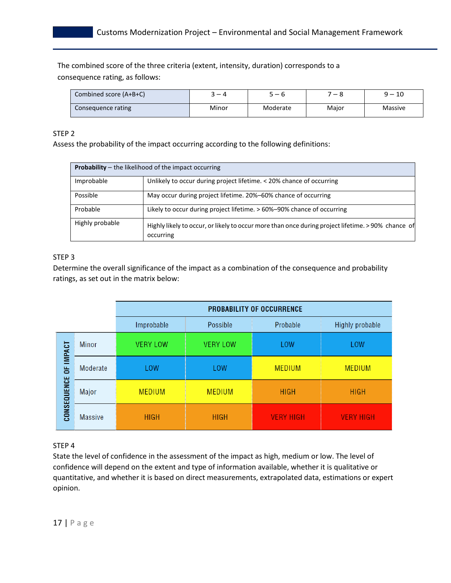The combined score of the three criteria (extent, intensity, duration) corresponds to a consequence rating, as follows:

| Combined score (A+B+C) | — 4   | $-6$     | $\overline{\phantom{0}}$ | 10<br>a <sub>—</sub> |
|------------------------|-------|----------|--------------------------|----------------------|
| Consequence rating     | Minor | Moderate | Major                    | Massive              |

#### STEP 2

Assess the probability of the impact occurring according to the following definitions:

|                 | <b>Probability</b> – the likelihood of the impact occurring                                                     |
|-----------------|-----------------------------------------------------------------------------------------------------------------|
| Improbable      | Unlikely to occur during project lifetime. < 20% chance of occurring                                            |
| Possible        | May occur during project lifetime. 20%-60% chance of occurring                                                  |
| Probable        | Likely to occur during project lifetime. > 60%-90% chance of occurring                                          |
| Highly probable | Highly likely to occur, or likely to occur more than once during project lifetime. > 90% chance of<br>occurring |

#### STEP 3

Determine the overall significance of the impact as a combination of the consequence and probability ratings, as set out in the matrix below:

|                  |                | <b>PROBABILITY OF OCCURRENCE</b> |                 |                  |                        |  |
|------------------|----------------|----------------------------------|-----------------|------------------|------------------------|--|
|                  |                | Improbable                       | Possible        | Probable         | <b>Highly probable</b> |  |
| <b>IMPACT</b>    | <b>Minor</b>   | <b>VERY LOW</b>                  | <b>VERY LOW</b> | <b>LOW</b>       | <b>LOW</b>             |  |
| ă<br>CONSEQUENCE | Moderate       | <b>LOW</b>                       | <b>LOW</b>      | <b>MEDIUM</b>    | <b>MEDIUM</b>          |  |
|                  | Major          | <b>MEDIUM</b>                    | <b>MEDIUM</b>   | <b>HIGH</b>      | <b>HIGH</b>            |  |
|                  | <b>Massive</b> | <b>HIGH</b>                      | <b>HIGH</b>     | <b>VERY HIGH</b> | <b>VERY HIGH</b>       |  |

#### STEP 4

State the level of confidence in the assessment of the impact as high, medium or low. The level of confidence will depend on the extent and type of information available, whether it is qualitative or quantitative, and whether it is based on direct measurements, extrapolated data, estimations or expert opinion.